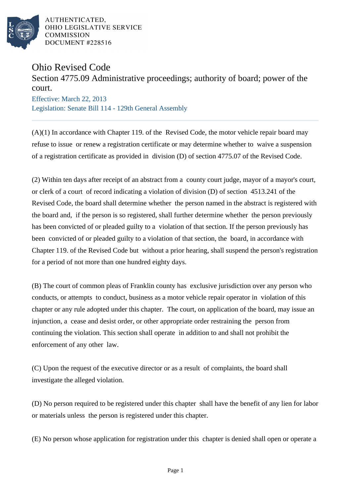

AUTHENTICATED. OHIO LEGISLATIVE SERVICE **COMMISSION** DOCUMENT #228516

## Ohio Revised Code

## Section 4775.09 Administrative proceedings; authority of board; power of the court.

Effective: March 22, 2013 Legislation: Senate Bill 114 - 129th General Assembly

 $(A)(1)$  In accordance with Chapter 119. of the Revised Code, the motor vehicle repair board may refuse to issue or renew a registration certificate or may determine whether to waive a suspension of a registration certificate as provided in division (D) of section 4775.07 of the Revised Code.

(2) Within ten days after receipt of an abstract from a county court judge, mayor of a mayor's court, or clerk of a court of record indicating a violation of division (D) of section 4513.241 of the Revised Code, the board shall determine whether the person named in the abstract is registered with the board and, if the person is so registered, shall further determine whether the person previously has been convicted of or pleaded guilty to a violation of that section. If the person previously has been convicted of or pleaded guilty to a violation of that section, the board, in accordance with Chapter 119. of the Revised Code but without a prior hearing, shall suspend the person's registration for a period of not more than one hundred eighty days.

(B) The court of common pleas of Franklin county has exclusive jurisdiction over any person who conducts, or attempts to conduct, business as a motor vehicle repair operator in violation of this chapter or any rule adopted under this chapter. The court, on application of the board, may issue an injunction, a cease and desist order, or other appropriate order restraining the person from continuing the violation. This section shall operate in addition to and shall not prohibit the enforcement of any other law.

(C) Upon the request of the executive director or as a result of complaints, the board shall investigate the alleged violation.

(D) No person required to be registered under this chapter shall have the benefit of any lien for labor or materials unless the person is registered under this chapter.

(E) No person whose application for registration under this chapter is denied shall open or operate a